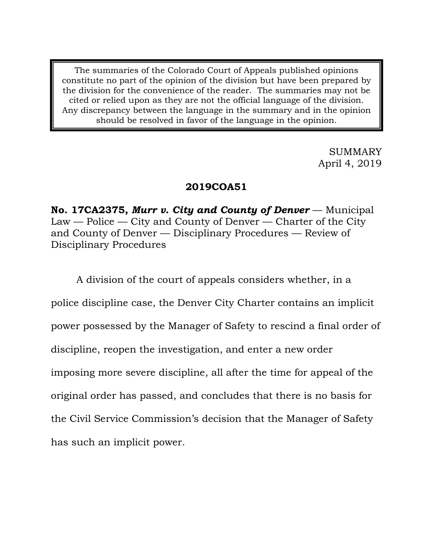The summaries of the Colorado Court of Appeals published opinions constitute no part of the opinion of the division but have been prepared by the division for the convenience of the reader. The summaries may not be cited or relied upon as they are not the official language of the division. Any discrepancy between the language in the summary and in the opinion should be resolved in favor of the language in the opinion.

> SUMMARY April 4, 2019

### **2019COA51**

**No. 17CA2375,** *Murr v. City and County of Denver* — Municipal  $Law - Police - City$  and County of Denver  $-$  Charter of the City and County of Denver — Disciplinary Procedures — Review of Disciplinary Procedures

A division of the court of appeals considers whether, in a police discipline case, the Denver City Charter contains an implicit power possessed by the Manager of Safety to rescind a final order of discipline, reopen the investigation, and enter a new order imposing more severe discipline, all after the time for appeal of the original order has passed, and concludes that there is no basis for the Civil Service Commission's decision that the Manager of Safety has such an implicit power.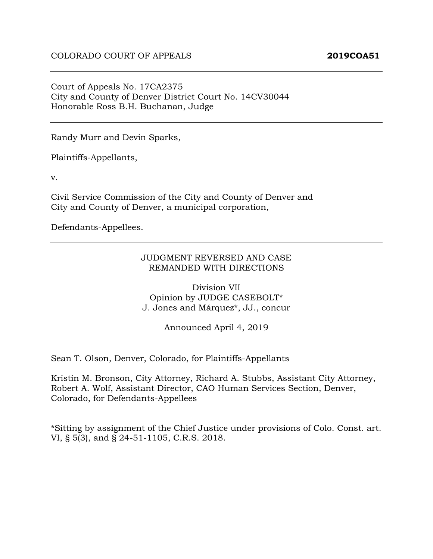Court of Appeals No. 17CA2375 City and County of Denver District Court No. 14CV30044 Honorable Ross B.H. Buchanan, Judge

Randy Murr and Devin Sparks,

Plaintiffs-Appellants,

v.

Civil Service Commission of the City and County of Denver and City and County of Denver, a municipal corporation,

Defendants-Appellees.

#### JUDGMENT REVERSED AND CASE REMANDED WITH DIRECTIONS

Division VII Opinion by JUDGE CASEBOLT\* J. Jones and Márquez\*, JJ., concur

Announced April 4, 2019

Sean T. Olson, Denver, Colorado, for Plaintiffs-Appellants

Kristin M. Bronson, City Attorney, Richard A. Stubbs, Assistant City Attorney, Robert A. Wolf, Assistant Director, CAO Human Services Section, Denver, Colorado, for Defendants-Appellees

\*Sitting by assignment of the Chief Justice under provisions of Colo. Const. art. VI, § 5(3), and § 24-51-1105, C.R.S. 2018.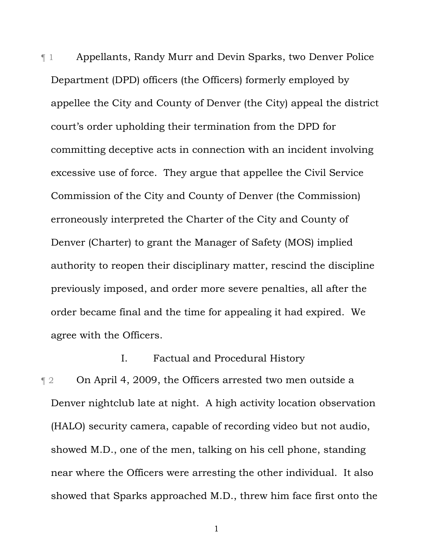¶ 1 Appellants, Randy Murr and Devin Sparks, two Denver Police Department (DPD) officers (the Officers) formerly employed by appellee the City and County of Denver (the City) appeal the district court's order upholding their termination from the DPD for committing deceptive acts in connection with an incident involving excessive use of force. They argue that appellee the Civil Service Commission of the City and County of Denver (the Commission) erroneously interpreted the Charter of the City and County of Denver (Charter) to grant the Manager of Safety (MOS) implied authority to reopen their disciplinary matter, rescind the discipline previously imposed, and order more severe penalties, all after the order became final and the time for appealing it had expired. We agree with the Officers.

# I. Factual and Procedural History

**The 2** On April 4, 2009, the Officers arrested two men outside a Denver nightclub late at night. A high activity location observation (HALO) security camera, capable of recording video but not audio, showed M.D., one of the men, talking on his cell phone, standing near where the Officers were arresting the other individual. It also showed that Sparks approached M.D., threw him face first onto the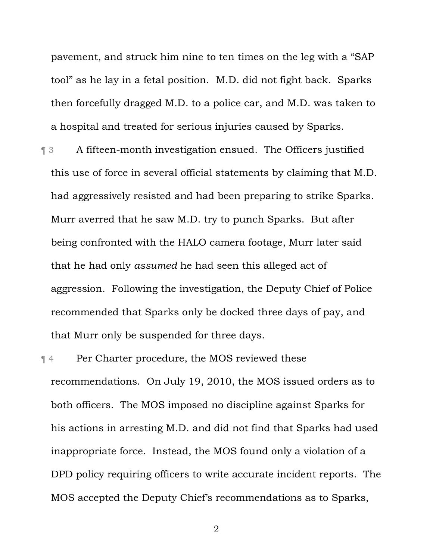pavement, and struck him nine to ten times on the leg with a "SAP tool" as he lay in a fetal position. M.D. did not fight back. Sparks then forcefully dragged M.D. to a police car, and M.D. was taken to a hospital and treated for serious injuries caused by Sparks.

¶ 3 A fifteen-month investigation ensued. The Officers justified this use of force in several official statements by claiming that M.D. had aggressively resisted and had been preparing to strike Sparks. Murr averred that he saw M.D. try to punch Sparks. But after being confronted with the HALO camera footage, Murr later said that he had only *assumed* he had seen this alleged act of aggression. Following the investigation, the Deputy Chief of Police recommended that Sparks only be docked three days of pay, and that Murr only be suspended for three days.

¶ 4 Per Charter procedure, the MOS reviewed these recommendations. On July 19, 2010, the MOS issued orders as to both officers. The MOS imposed no discipline against Sparks for his actions in arresting M.D. and did not find that Sparks had used inappropriate force. Instead, the MOS found only a violation of a DPD policy requiring officers to write accurate incident reports. The MOS accepted the Deputy Chief's recommendations as to Sparks,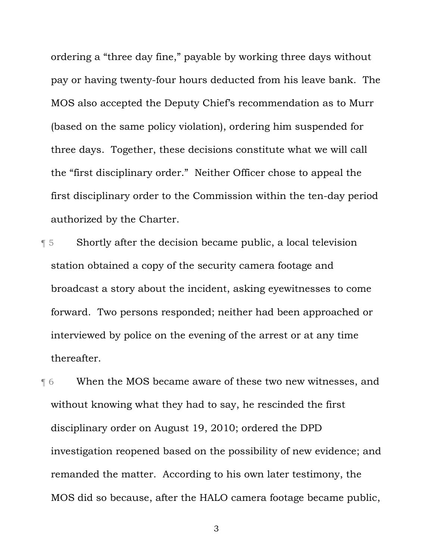ordering a "three day fine," payable by working three days without pay or having twenty-four hours deducted from his leave bank. The MOS also accepted the Deputy Chief's recommendation as to Murr (based on the same policy violation), ordering him suspended for three days. Together, these decisions constitute what we will call the "first disciplinary order." Neither Officer chose to appeal the first disciplinary order to the Commission within the ten-day period authorized by the Charter.

¶ 5 Shortly after the decision became public, a local television station obtained a copy of the security camera footage and broadcast a story about the incident, asking eyewitnesses to come forward. Two persons responded; neither had been approached or interviewed by police on the evening of the arrest or at any time thereafter.

¶ 6 When the MOS became aware of these two new witnesses, and without knowing what they had to say, he rescinded the first disciplinary order on August 19, 2010; ordered the DPD investigation reopened based on the possibility of new evidence; and remanded the matter. According to his own later testimony, the MOS did so because, after the HALO camera footage became public,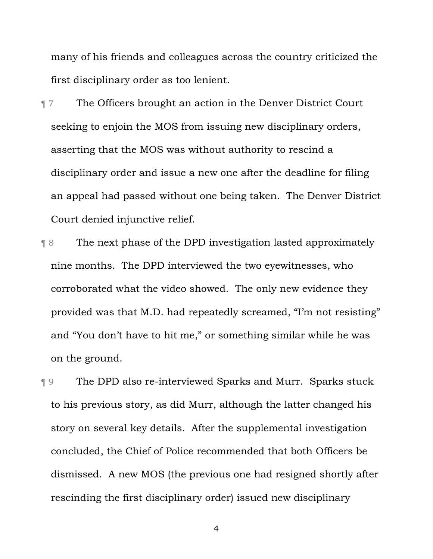many of his friends and colleagues across the country criticized the first disciplinary order as too lenient.

- ¶ 7 The Officers brought an action in the Denver District Court seeking to enjoin the MOS from issuing new disciplinary orders, asserting that the MOS was without authority to rescind a disciplinary order and issue a new one after the deadline for filing an appeal had passed without one being taken. The Denver District Court denied injunctive relief.
- ¶ 8 The next phase of the DPD investigation lasted approximately nine months. The DPD interviewed the two eyewitnesses, who corroborated what the video showed. The only new evidence they provided was that M.D. had repeatedly screamed, "I'm not resisting" and "You don't have to hit me," or something similar while he was on the ground.

¶ 9 The DPD also re-interviewed Sparks and Murr. Sparks stuck to his previous story, as did Murr, although the latter changed his story on several key details. After the supplemental investigation concluded, the Chief of Police recommended that both Officers be dismissed. A new MOS (the previous one had resigned shortly after rescinding the first disciplinary order) issued new disciplinary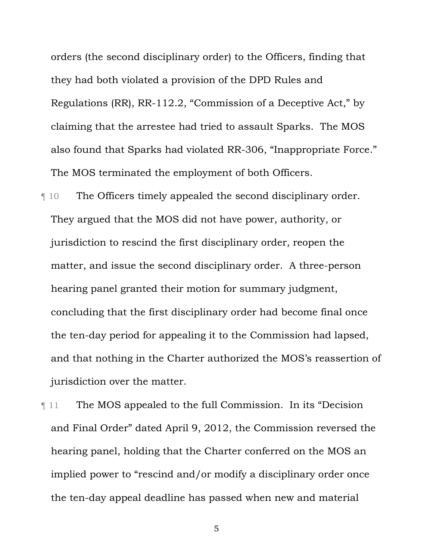orders (the second disciplinary order) to the Officers, finding that they had both violated a provision of the DPD Rules and Regulations (RR), RR-112.2, "Commission of a Deceptive Act," by claiming that the arrestee had tried to assault Sparks. The MOS also found that Sparks had violated RR-306, "Inappropriate Force." The MOS terminated the employment of both Officers.

¶ 10 The Officers timely appealed the second disciplinary order. They argued that the MOS did not have power, authority, or jurisdiction to rescind the first disciplinary order, reopen the matter, and issue the second disciplinary order. A three-person hearing panel granted their motion for summary judgment, concluding that the first disciplinary order had become final once the ten-day period for appealing it to the Commission had lapsed, and that nothing in the Charter authorized the MOS's reassertion of jurisdiction over the matter.

¶ 11 The MOS appealed to the full Commission. In its "Decision and Final Order" dated April 9, 2012, the Commission reversed the hearing panel, holding that the Charter conferred on the MOS an implied power to "rescind and/or modify a disciplinary order once the ten-day appeal deadline has passed when new and material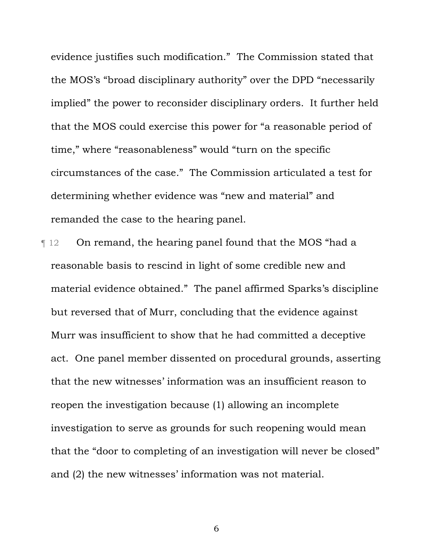evidence justifies such modification." The Commission stated that the MOS's "broad disciplinary authority" over the DPD "necessarily implied" the power to reconsider disciplinary orders. It further held that the MOS could exercise this power for "a reasonable period of time," where "reasonableness" would "turn on the specific circumstances of the case." The Commission articulated a test for determining whether evidence was "new and material" and remanded the case to the hearing panel.

¶ 12 On remand, the hearing panel found that the MOS "had a reasonable basis to rescind in light of some credible new and material evidence obtained." The panel affirmed Sparks's discipline but reversed that of Murr, concluding that the evidence against Murr was insufficient to show that he had committed a deceptive act. One panel member dissented on procedural grounds, asserting that the new witnesses' information was an insufficient reason to reopen the investigation because (1) allowing an incomplete investigation to serve as grounds for such reopening would mean that the "door to completing of an investigation will never be closed" and (2) the new witnesses' information was not material.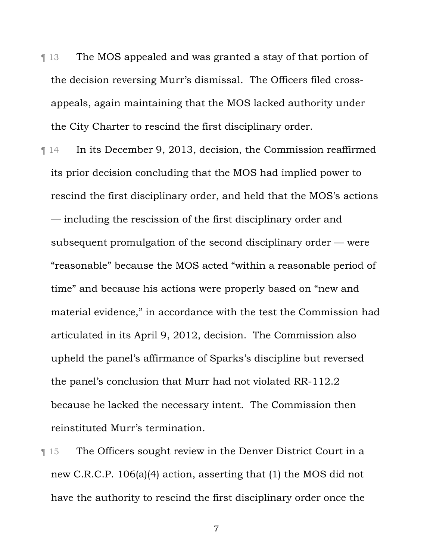- ¶ 13 The MOS appealed and was granted a stay of that portion of the decision reversing Murr's dismissal. The Officers filed crossappeals, again maintaining that the MOS lacked authority under the City Charter to rescind the first disciplinary order.
- ¶ 14 In its December 9, 2013, decision, the Commission reaffirmed its prior decision concluding that the MOS had implied power to rescind the first disciplinary order, and held that the MOS's actions — including the rescission of the first disciplinary order and subsequent promulgation of the second disciplinary order — were "reasonable" because the MOS acted "within a reasonable period of time" and because his actions were properly based on "new and material evidence," in accordance with the test the Commission had articulated in its April 9, 2012, decision. The Commission also upheld the panel's affirmance of Sparks's discipline but reversed the panel's conclusion that Murr had not violated RR-112.2 because he lacked the necessary intent. The Commission then reinstituted Murr's termination.
- **The Officers sought review in the Denver District Court in a** new C.R.C.P. 106(a)(4) action, asserting that (1) the MOS did not have the authority to rescind the first disciplinary order once the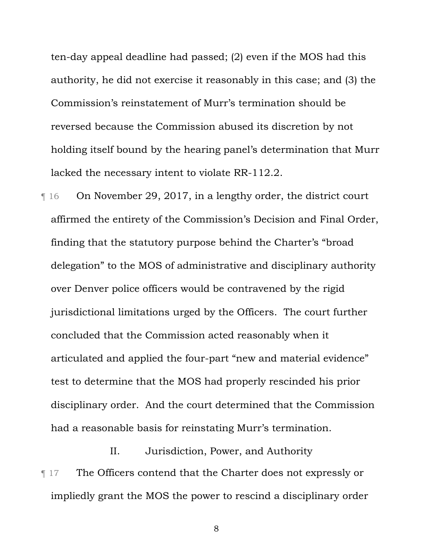ten-day appeal deadline had passed; (2) even if the MOS had this authority, he did not exercise it reasonably in this case; and (3) the Commission's reinstatement of Murr's termination should be reversed because the Commission abused its discretion by not holding itself bound by the hearing panel's determination that Murr lacked the necessary intent to violate RR-112.2.

¶ 16 On November 29, 2017, in a lengthy order, the district court affirmed the entirety of the Commission's Decision and Final Order, finding that the statutory purpose behind the Charter's "broad delegation" to the MOS of administrative and disciplinary authority over Denver police officers would be contravened by the rigid jurisdictional limitations urged by the Officers. The court further concluded that the Commission acted reasonably when it articulated and applied the four-part "new and material evidence" test to determine that the MOS had properly rescinded his prior disciplinary order. And the court determined that the Commission had a reasonable basis for reinstating Murr's termination.

II. Jurisdiction, Power, and Authority ¶ 17 The Officers contend that the Charter does not expressly or impliedly grant the MOS the power to rescind a disciplinary order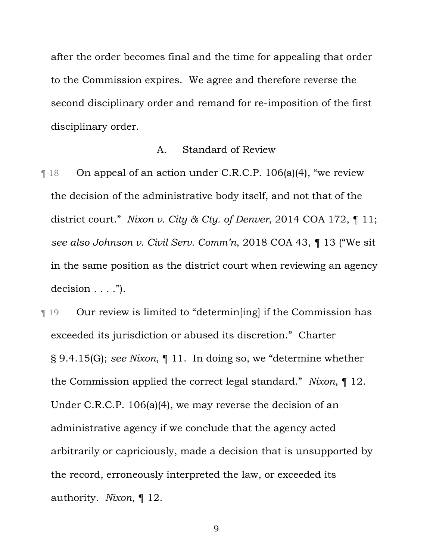after the order becomes final and the time for appealing that order to the Commission expires. We agree and therefore reverse the second disciplinary order and remand for re-imposition of the first disciplinary order.

#### A. Standard of Review

¶ 18 On appeal of an action under C.R.C.P. 106(a)(4), "we review the decision of the administrative body itself, and not that of the district court." *Nixon v. City & Cty. of Denver*, 2014 COA 172, ¶ 11; *see also Johnson v. Civil Serv. Comm'n*, 2018 COA 43, ¶ 13 ("We sit in the same position as the district court when reviewing an agency  $decision \ldots$ .").

¶ 19 Our review is limited to "determin[ing] if the Commission has exceeded its jurisdiction or abused its discretion." Charter § 9.4.15(G); *see Nixon*, ¶ 11. In doing so, we "determine whether the Commission applied the correct legal standard." *Nixon*, ¶ 12. Under C.R.C.P. 106(a)(4), we may reverse the decision of an administrative agency if we conclude that the agency acted arbitrarily or capriciously, made a decision that is unsupported by the record, erroneously interpreted the law, or exceeded its authority. *Nixon*, ¶ 12.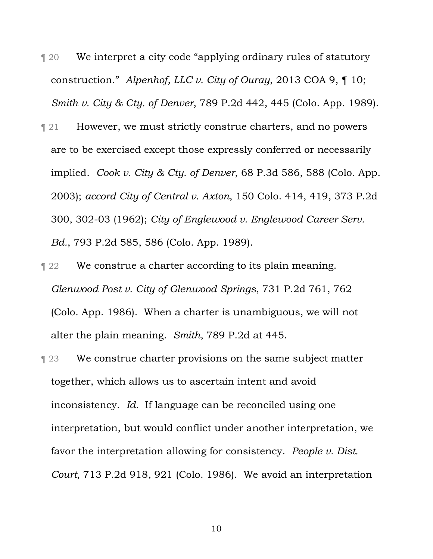- ¶ 20 We interpret a city code "applying ordinary rules of statutory construction." *Alpenhof, LLC v. City of Ouray*, 2013 COA 9, ¶ 10; *Smith v. City & Cty. of Denver*, 789 P.2d 442, 445 (Colo. App. 1989).
- ¶ 21 However, we must strictly construe charters, and no powers are to be exercised except those expressly conferred or necessarily implied. *Cook v. City & Cty. of Denver*, 68 P.3d 586, 588 (Colo. App. 2003); *accord City of Central v. Axton*, 150 Colo. 414, 419, 373 P.2d 300, 302-03 (1962); *City of Englewood v. Englewood Career Serv. Bd.*, 793 P.2d 585, 586 (Colo. App. 1989).
- **Term 22** We construe a charter according to its plain meaning. *Glenwood Post v. City of Glenwood Springs*, 731 P.2d 761, 762 (Colo. App. 1986). When a charter is unambiguous, we will not alter the plain meaning. *Smith*, 789 P.2d at 445.
- **Term 23** We construe charter provisions on the same subject matter together, which allows us to ascertain intent and avoid inconsistency. *Id.* If language can be reconciled using one interpretation, but would conflict under another interpretation, we favor the interpretation allowing for consistency. *People v. Dist. Court*, 713 P.2d 918, 921 (Colo. 1986). We avoid an interpretation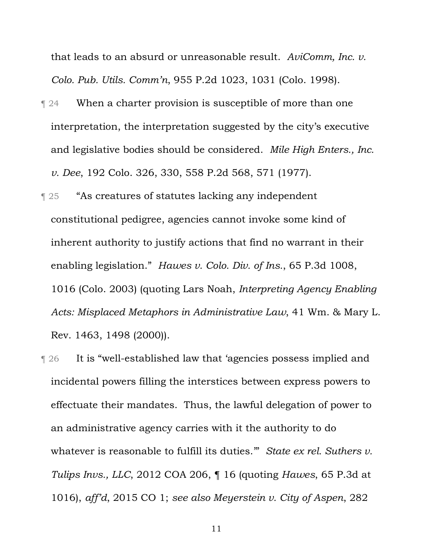that leads to an absurd or unreasonable result. *AviComm, Inc. v. Colo. Pub. Utils. Comm'n*, 955 P.2d 1023, 1031 (Colo. 1998).

- **T** 24 When a charter provision is susceptible of more than one interpretation, the interpretation suggested by the city's executive and legislative bodies should be considered. *Mile High Enters., Inc. v. Dee*, 192 Colo. 326, 330, 558 P.2d 568, 571 (1977).
- ¶ 25 "As creatures of statutes lacking any independent constitutional pedigree, agencies cannot invoke some kind of inherent authority to justify actions that find no warrant in their enabling legislation." *Hawes v. Colo. Div. of Ins.*, 65 P.3d 1008, 1016 (Colo. 2003) (quoting Lars Noah, *Interpreting Agency Enabling Acts: Misplaced Metaphors in Administrative Law*, 41 Wm. & Mary L. Rev. 1463, 1498 (2000)).
- ¶ 26 It is "well-established law that 'agencies possess implied and incidental powers filling the interstices between express powers to effectuate their mandates. Thus, the lawful delegation of power to an administrative agency carries with it the authority to do whatever is reasonable to fulfill its duties.'" *State ex rel. Suthers v. Tulips Invs., LLC*, 2012 COA 206, ¶ 16 (quoting *Hawes*, 65 P.3d at 1016), *aff'd*, 2015 CO 1; *see also Meyerstein v. City of Aspen*, 282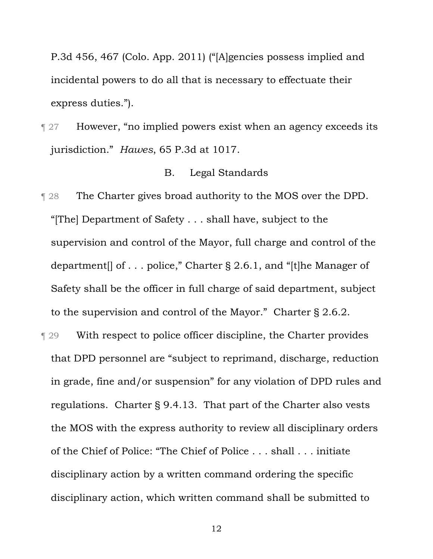P.3d 456, 467 (Colo. App. 2011) ("[A]gencies possess implied and incidental powers to do all that is necessary to effectuate their express duties.").

**Term 31.4** However, "no implied powers exist when an agency exceeds its jurisdiction." *Hawes*, 65 P.3d at 1017.

#### B. Legal Standards

- **The Charter gives broad authority to the MOS over the DPD.** "[The] Department of Safety . . . shall have, subject to the supervision and control of the Mayor, full charge and control of the department[] of . . . police," Charter § 2.6.1, and "[t]he Manager of Safety shall be the officer in full charge of said department, subject to the supervision and control of the Mayor." Charter § 2.6.2.
- ¶ 29 With respect to police officer discipline, the Charter provides that DPD personnel are "subject to reprimand, discharge, reduction in grade, fine and/or suspension" for any violation of DPD rules and regulations. Charter § 9.4.13. That part of the Charter also vests the MOS with the express authority to review all disciplinary orders of the Chief of Police: "The Chief of Police . . . shall . . . initiate disciplinary action by a written command ordering the specific disciplinary action, which written command shall be submitted to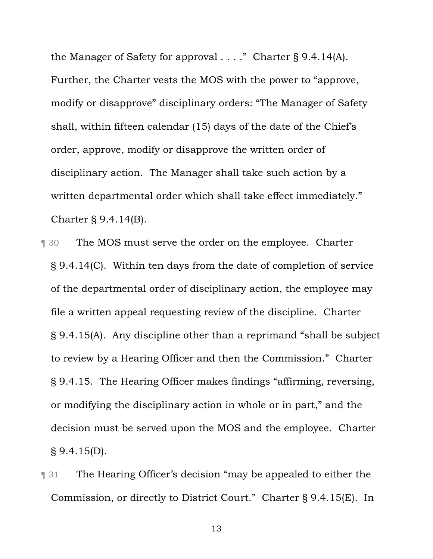the Manager of Safety for approval . . . ." Charter § 9.4.14(A). Further, the Charter vests the MOS with the power to "approve, modify or disapprove" disciplinary orders: "The Manager of Safety shall, within fifteen calendar (15) days of the date of the Chief's order, approve, modify or disapprove the written order of disciplinary action. The Manager shall take such action by a written departmental order which shall take effect immediately." Charter § 9.4.14(B).

- ¶ 30 The MOS must serve the order on the employee. Charter § 9.4.14(C). Within ten days from the date of completion of service of the departmental order of disciplinary action, the employee may file a written appeal requesting review of the discipline. Charter § 9.4.15(A). Any discipline other than a reprimand "shall be subject to review by a Hearing Officer and then the Commission." Charter § 9.4.15. The Hearing Officer makes findings "affirming, reversing, or modifying the disciplinary action in whole or in part," and the decision must be served upon the MOS and the employee. Charter § 9.4.15(D).
- ¶ 31 The Hearing Officer's decision "may be appealed to either the Commission, or directly to District Court." Charter § 9.4.15(E). In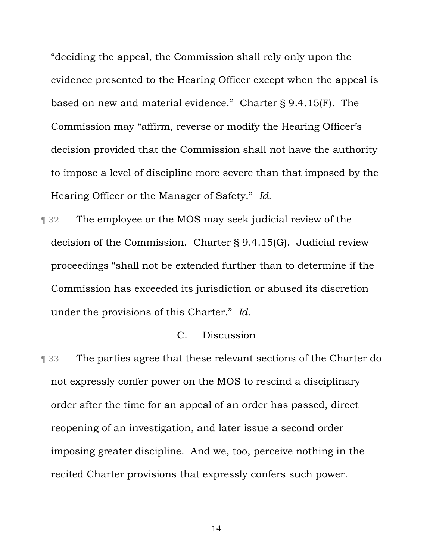"deciding the appeal, the Commission shall rely only upon the evidence presented to the Hearing Officer except when the appeal is based on new and material evidence." Charter § 9.4.15(F). The Commission may "affirm, reverse or modify the Hearing Officer's decision provided that the Commission shall not have the authority to impose a level of discipline more severe than that imposed by the Hearing Officer or the Manager of Safety." *Id.*

¶ 32 The employee or the MOS may seek judicial review of the decision of the Commission. Charter § 9.4.15(G). Judicial review proceedings "shall not be extended further than to determine if the Commission has exceeded its jurisdiction or abused its discretion under the provisions of this Charter." *Id.*

#### C. Discussion

¶ 33 The parties agree that these relevant sections of the Charter do not expressly confer power on the MOS to rescind a disciplinary order after the time for an appeal of an order has passed, direct reopening of an investigation, and later issue a second order imposing greater discipline. And we, too, perceive nothing in the recited Charter provisions that expressly confers such power.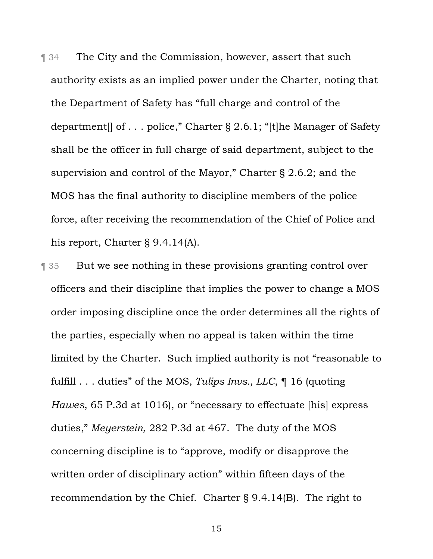**The City and the Commission, however, assert that such** authority exists as an implied power under the Charter, noting that the Department of Safety has "full charge and control of the department[] of . . . police," Charter § 2.6.1; "[t]he Manager of Safety shall be the officer in full charge of said department, subject to the supervision and control of the Mayor," Charter § 2.6.2; and the MOS has the final authority to discipline members of the police force, after receiving the recommendation of the Chief of Police and his report, Charter § 9.4.14(A).

¶ 35 But we see nothing in these provisions granting control over officers and their discipline that implies the power to change a MOS order imposing discipline once the order determines all the rights of the parties, especially when no appeal is taken within the time limited by the Charter. Such implied authority is not "reasonable to fulfill . . . duties" of the MOS, *Tulips Invs., LLC*, ¶ 16 (quoting *Hawes*, 65 P.3d at 1016), or "necessary to effectuate [his] express duties," *Meyerstein,* 282 P.3d at 467. The duty of the MOS concerning discipline is to "approve, modify or disapprove the written order of disciplinary action" within fifteen days of the recommendation by the Chief. Charter § 9.4.14(B). The right to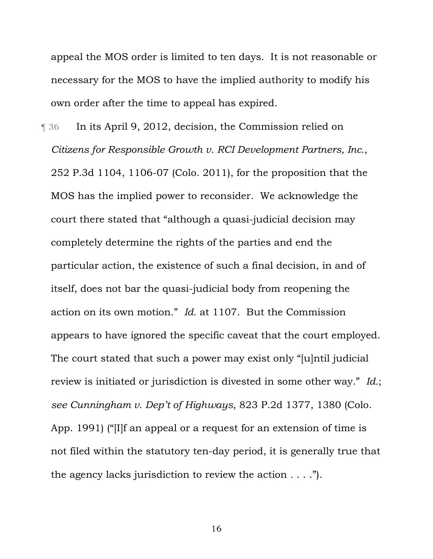appeal the MOS order is limited to ten days. It is not reasonable or necessary for the MOS to have the implied authority to modify his own order after the time to appeal has expired.

¶ 36 In its April 9, 2012, decision, the Commission relied on *Citizens for Responsible Growth v. RCI Development Partners, Inc.*, 252 P.3d 1104, 1106-07 (Colo. 2011), for the proposition that the MOS has the implied power to reconsider. We acknowledge the court there stated that "although a quasi-judicial decision may completely determine the rights of the parties and end the particular action, the existence of such a final decision, in and of itself, does not bar the quasi-judicial body from reopening the action on its own motion." *Id.* at 1107. But the Commission appears to have ignored the specific caveat that the court employed. The court stated that such a power may exist only "[u]ntil judicial review is initiated or jurisdiction is divested in some other way*.*" *Id.*; *see Cunningham v. Dep't of Highways*, 823 P.2d 1377, 1380 (Colo. App. 1991) ("[I]f an appeal or a request for an extension of time is not filed within the statutory ten-day period, it is generally true that the agency lacks jurisdiction to review the action . . . .").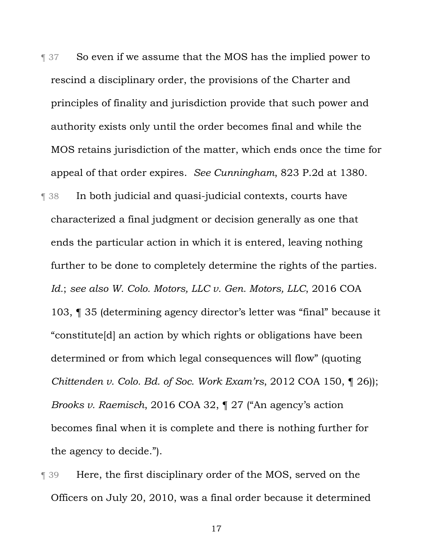- **Term 37** So even if we assume that the MOS has the implied power to rescind a disciplinary order, the provisions of the Charter and principles of finality and jurisdiction provide that such power and authority exists only until the order becomes final and while the MOS retains jurisdiction of the matter, which ends once the time for appeal of that order expires. *See Cunningham*, 823 P.2d at 1380.
- ¶ 38 In both judicial and quasi-judicial contexts, courts have characterized a final judgment or decision generally as one that ends the particular action in which it is entered, leaving nothing further to be done to completely determine the rights of the parties. *Id.*; *see also W. Colo. Motors, LLC v. Gen. Motors, LLC*, 2016 COA 103, ¶ 35 (determining agency director's letter was "final" because it "constitute[d] an action by which rights or obligations have been determined or from which legal consequences will flow" (quoting *Chittenden v. Colo. Bd. of Soc. Work Exam'rs*, 2012 COA 150, ¶ 26)); *Brooks v. Raemisch*, 2016 COA 32, ¶ 27 ("An agency's action becomes final when it is complete and there is nothing further for the agency to decide.").
- **T** 39 Here, the first disciplinary order of the MOS, served on the Officers on July 20, 2010, was a final order because it determined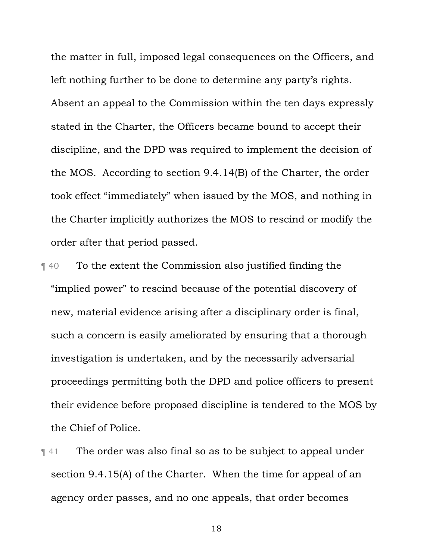the matter in full, imposed legal consequences on the Officers, and left nothing further to be done to determine any party's rights. Absent an appeal to the Commission within the ten days expressly stated in the Charter, the Officers became bound to accept their discipline, and the DPD was required to implement the decision of the MOS. According to section 9.4.14(B) of the Charter, the order took effect "immediately" when issued by the MOS, and nothing in the Charter implicitly authorizes the MOS to rescind or modify the order after that period passed.

- ¶ 40 To the extent the Commission also justified finding the "implied power" to rescind because of the potential discovery of new, material evidence arising after a disciplinary order is final, such a concern is easily ameliorated by ensuring that a thorough investigation is undertaken, and by the necessarily adversarial proceedings permitting both the DPD and police officers to present their evidence before proposed discipline is tendered to the MOS by the Chief of Police.
- ¶ 41 The order was also final so as to be subject to appeal under section 9.4.15(A) of the Charter. When the time for appeal of an agency order passes, and no one appeals, that order becomes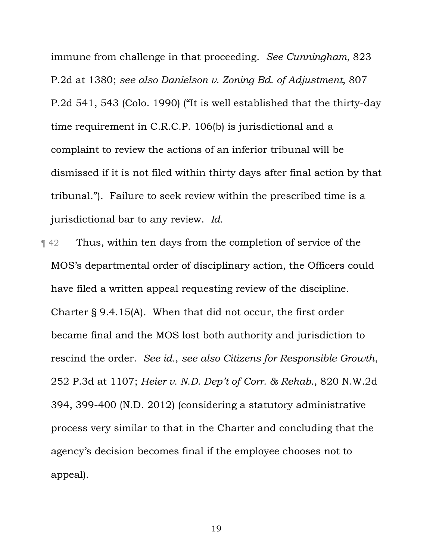immune from challenge in that proceeding. *See Cunningham*, 823 P.2d at 1380; *see also Danielson v. Zoning Bd. of Adjustment*, 807 P.2d 541, 543 (Colo. 1990) ("It is well established that the thirty-day time requirement in C.R.C.P. 106(b) is jurisdictional and a complaint to review the actions of an inferior tribunal will be dismissed if it is not filed within thirty days after final action by that tribunal."). Failure to seek review within the prescribed time is a jurisdictional bar to any review. *Id.*

¶ 42 Thus, within ten days from the completion of service of the MOS's departmental order of disciplinary action, the Officers could have filed a written appeal requesting review of the discipline. Charter § 9.4.15(A). When that did not occur, the first order became final and the MOS lost both authority and jurisdiction to rescind the order. *See id.*, *see also Citizens for Responsible Growth*, 252 P.3d at 1107; *Heier v. N.D. Dep't of Corr. & Rehab.*, 820 N.W.2d 394, 399-400 (N.D. 2012) (considering a statutory administrative process very similar to that in the Charter and concluding that the agency's decision becomes final if the employee chooses not to appeal).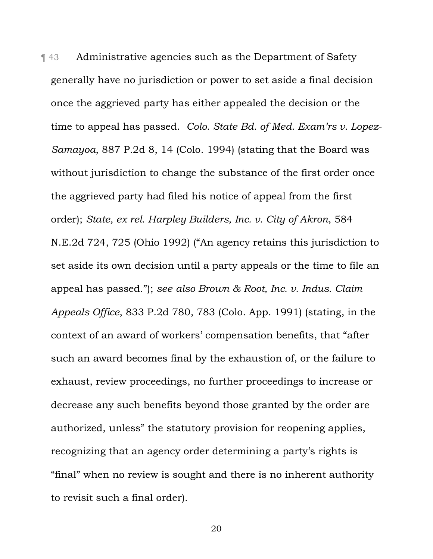¶ 43 Administrative agencies such as the Department of Safety generally have no jurisdiction or power to set aside a final decision once the aggrieved party has either appealed the decision or the time to appeal has passed. *Colo. State Bd. of Med. Exam'rs v. Lopez-Samayoa*, 887 P.2d 8, 14 (Colo. 1994) (stating that the Board was without jurisdiction to change the substance of the first order once the aggrieved party had filed his notice of appeal from the first order); *State, ex rel. Harpley Builders, Inc. v. City of Akron*, 584 N.E.2d 724, 725 (Ohio 1992) ("An agency retains this jurisdiction to set aside its own decision until a party appeals or the time to file an appeal has passed."); *see also Brown & Root, Inc. v. Indus. Claim Appeals Office*, 833 P.2d 780, 783 (Colo. App. 1991) (stating, in the context of an award of workers' compensation benefits, that "after such an award becomes final by the exhaustion of, or the failure to exhaust, review proceedings, no further proceedings to increase or decrease any such benefits beyond those granted by the order are authorized, unless" the statutory provision for reopening applies, recognizing that an agency order determining a party's rights is "final" when no review is sought and there is no inherent authority to revisit such a final order).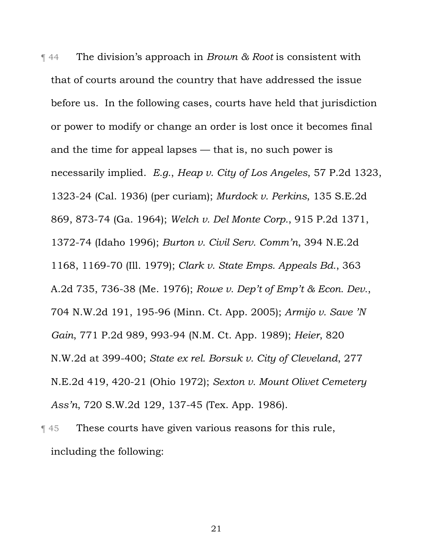¶ 44 The division's approach in *Brown & Root* is consistent with that of courts around the country that have addressed the issue before us. In the following cases, courts have held that jurisdiction or power to modify or change an order is lost once it becomes final and the time for appeal lapses — that is, no such power is necessarily implied. *E.g.*, *Heap v. City of Los Angeles*, 57 P.2d 1323, 1323-24 (Cal. 1936) (per curiam); *Murdock v. Perkins*, 135 S.E.2d 869, 873-74 (Ga. 1964); *Welch v. Del Monte Corp.*, 915 P.2d 1371, 1372-74 (Idaho 1996); *Burton v. Civil Serv. Comm'n*, 394 N.E.2d 1168, 1169-70 (Ill. 1979); *Clark v. State Emps. Appeals Bd.*, 363 A.2d 735, 736-38 (Me. 1976); *Rowe v. Dep't of Emp't & Econ. Dev.*, 704 N.W.2d 191, 195-96 (Minn. Ct. App. 2005); *Armijo v. Save 'N Gain*, 771 P.2d 989, 993-94 (N.M. Ct. App. 1989); *Heier*, 820 N.W.2d at 399-400; *State ex rel. Borsuk v. City of Cleveland*, 277 N.E.2d 419, 420-21 (Ohio 1972); *Sexton v. Mount Olivet Cemetery Ass'n*, 720 S.W.2d 129, 137-45 (Tex. App. 1986).

¶ 45 These courts have given various reasons for this rule, including the following: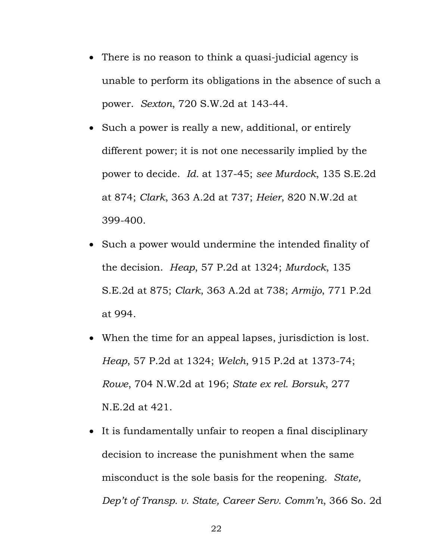- There is no reason to think a quasi-judicial agency is unable to perform its obligations in the absence of such a power. *Sexton*, 720 S.W.2d at 143-44.
- Such a power is really a new, additional, or entirely different power; it is not one necessarily implied by the power to decide. *Id.* at 137-45; *see Murdock*, 135 S.E.2d at 874; *Clark*, 363 A.2d at 737; *Heier*, 820 N.W.2d at 399-400.
- Such a power would undermine the intended finality of the decision. *Heap*, 57 P.2d at 1324; *Murdock*, 135 S.E.2d at 875; *Clark*, 363 A.2d at 738; *Armijo*, 771 P.2d at 994.
- When the time for an appeal lapses, jurisdiction is lost. *Heap*, 57 P.2d at 1324; *Welch*, 915 P.2d at 1373-74; *Rowe*, 704 N.W.2d at 196; *State ex rel. Borsuk*, 277 N.E.2d at 421.
- It is fundamentally unfair to reopen a final disciplinary decision to increase the punishment when the same misconduct is the sole basis for the reopening. *State, Dep't of Transp. v. State, Career Serv. Comm'n*, 366 So. 2d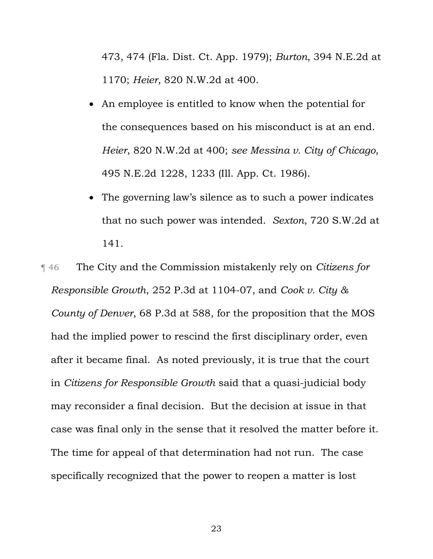473, 474 (Fla. Dist. Ct. App. 1979); *Burton*, 394 N.E.2d at 1170; *Heier*, 820 N.W.2d at 400.

- An employee is entitled to know when the potential for the consequences based on his misconduct is at an end. *Heier*, 820 N.W.2d at 400; *see Messina v. City of Chicago*, 495 N.E.2d 1228, 1233 (Ill. App. Ct. 1986).
- The governing law's silence as to such a power indicates that no such power was intended. *Sexton*, 720 S.W.2d at 141.

¶ 46 The City and the Commission mistakenly rely on *Citizens for Responsible Growth*, 252 P.3d at 1104-07, and *Cook v. City & County of Denver*, 68 P.3d at 588, for the proposition that the MOS had the implied power to rescind the first disciplinary order, even after it became final. As noted previously, it is true that the court in *Citizens for Responsible Growth* said that a quasi-judicial body may reconsider a final decision. But the decision at issue in that case was final only in the sense that it resolved the matter before it. The time for appeal of that determination had not run. The case specifically recognized that the power to reopen a matter is lost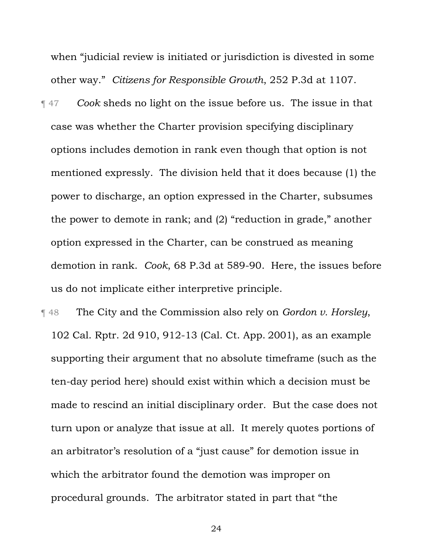when "judicial review is initiated or jurisdiction is divested in some other way." *Citizens for Responsible Growth*, 252 P.3d at 1107.

¶ 47 *Cook* sheds no light on the issue before us. The issue in that case was whether the Charter provision specifying disciplinary options includes demotion in rank even though that option is not mentioned expressly. The division held that it does because (1) the power to discharge, an option expressed in the Charter, subsumes the power to demote in rank; and (2) "reduction in grade," another option expressed in the Charter, can be construed as meaning demotion in rank. *Cook*, 68 P.3d at 589-90. Here, the issues before us do not implicate either interpretive principle.

¶ 48 The City and the Commission also rely on *Gordon v. Horsley*, 102 Cal. Rptr. 2d 910, 912-13 (Cal. Ct. App. 2001), as an example supporting their argument that no absolute timeframe (such as the ten-day period here) should exist within which a decision must be made to rescind an initial disciplinary order. But the case does not turn upon or analyze that issue at all. It merely quotes portions of an arbitrator's resolution of a "just cause" for demotion issue in which the arbitrator found the demotion was improper on procedural grounds. The arbitrator stated in part that "the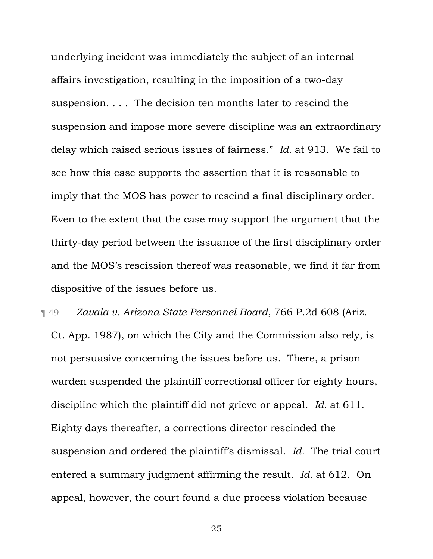underlying incident was immediately the subject of an internal affairs investigation, resulting in the imposition of a two-day suspension. . . . The decision ten months later to rescind the suspension and impose more severe discipline was an extraordinary delay which raised serious issues of fairness." *Id.* at 913. We fail to see how this case supports the assertion that it is reasonable to imply that the MOS has power to rescind a final disciplinary order. Even to the extent that the case may support the argument that the thirty-day period between the issuance of the first disciplinary order and the MOS's rescission thereof was reasonable, we find it far from dispositive of the issues before us.

¶ 49 *Zavala v. Arizona State Personnel Board*, 766 P.2d 608 (Ariz. Ct. App. 1987), on which the City and the Commission also rely, is not persuasive concerning the issues before us. There, a prison warden suspended the plaintiff correctional officer for eighty hours, discipline which the plaintiff did not grieve or appeal. *Id.* at 611. Eighty days thereafter, a corrections director rescinded the suspension and ordered the plaintiff's dismissal. *Id.* The trial court entered a summary judgment affirming the result. *Id.* at 612. On appeal, however, the court found a due process violation because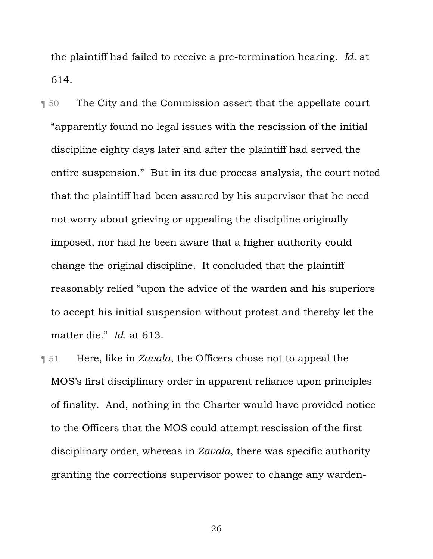the plaintiff had failed to receive a pre-termination hearing. *Id.* at 614.

- **The City and the Commission assert that the appellate court** "apparently found no legal issues with the rescission of the initial discipline eighty days later and after the plaintiff had served the entire suspension." But in its due process analysis, the court noted that the plaintiff had been assured by his supervisor that he need not worry about grieving or appealing the discipline originally imposed, nor had he been aware that a higher authority could change the original discipline. It concluded that the plaintiff reasonably relied "upon the advice of the warden and his superiors to accept his initial suspension without protest and thereby let the matter die." *Id.* at 613.
- ¶ 51 Here, like in *Zavala*, the Officers chose not to appeal the MOS's first disciplinary order in apparent reliance upon principles of finality. And, nothing in the Charter would have provided notice to the Officers that the MOS could attempt rescission of the first disciplinary order, whereas in *Zavala*, there was specific authority granting the corrections supervisor power to change any warden-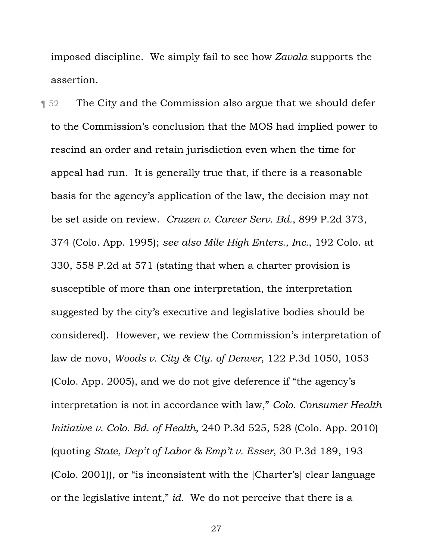imposed discipline. We simply fail to see how *Zavala* supports the assertion.

**The City and the Commission also argue that we should defer** to the Commission's conclusion that the MOS had implied power to rescind an order and retain jurisdiction even when the time for appeal had run. It is generally true that, if there is a reasonable basis for the agency's application of the law, the decision may not be set aside on review. *Cruzen v. Career Serv. Bd.*, 899 P.2d 373, 374 (Colo. App. 1995); *see also Mile High Enters., Inc.*, 192 Colo. at 330, 558 P.2d at 571 (stating that when a charter provision is susceptible of more than one interpretation, the interpretation suggested by the city's executive and legislative bodies should be considered). However, we review the Commission's interpretation of law de novo, *Woods v. City & Cty. of Denver*, 122 P.3d 1050, 1053 (Colo. App. 2005), and we do not give deference if "the agency's interpretation is not in accordance with law," *Colo. Consumer Health Initiative v. Colo. Bd. of Health*, 240 P.3d 525, 528 (Colo. App. 2010) (quoting *State, Dep't of Labor & Emp't v. Esser*, 30 P.3d 189, 193 (Colo. 2001)), or "is inconsistent with the [Charter's] clear language or the legislative intent," *id.* We do not perceive that there is a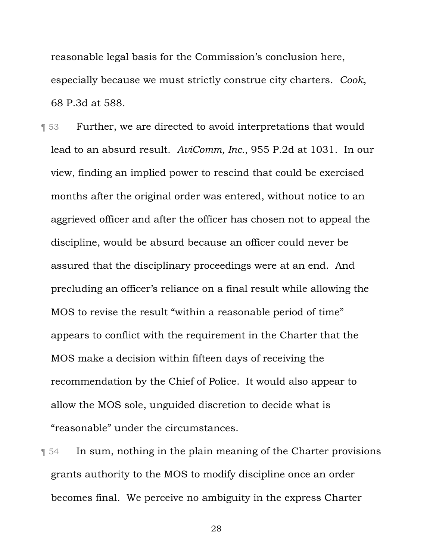reasonable legal basis for the Commission's conclusion here, especially because we must strictly construe city charters. *Cook*, 68 P.3d at 588.

**T** 53 Further, we are directed to avoid interpretations that would lead to an absurd result. *AviComm, Inc.*, 955 P.2d at 1031. In our view, finding an implied power to rescind that could be exercised months after the original order was entered, without notice to an aggrieved officer and after the officer has chosen not to appeal the discipline, would be absurd because an officer could never be assured that the disciplinary proceedings were at an end. And precluding an officer's reliance on a final result while allowing the MOS to revise the result "within a reasonable period of time" appears to conflict with the requirement in the Charter that the MOS make a decision within fifteen days of receiving the recommendation by the Chief of Police. It would also appear to allow the MOS sole, unguided discretion to decide what is "reasonable" under the circumstances.

¶ 54 In sum, nothing in the plain meaning of the Charter provisions grants authority to the MOS to modify discipline once an order becomes final. We perceive no ambiguity in the express Charter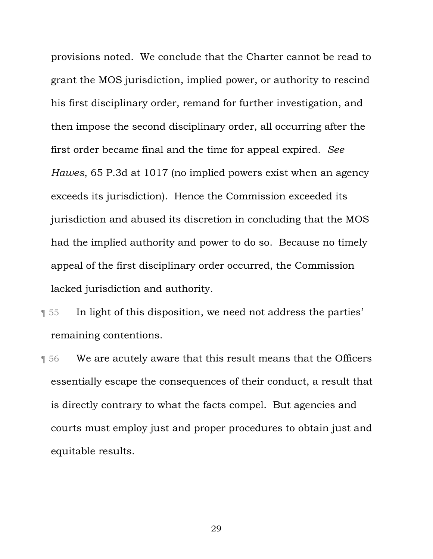provisions noted. We conclude that the Charter cannot be read to grant the MOS jurisdiction, implied power, or authority to rescind his first disciplinary order, remand for further investigation, and then impose the second disciplinary order, all occurring after the first order became final and the time for appeal expired. *See Hawes*, 65 P.3d at 1017 (no implied powers exist when an agency exceeds its jurisdiction). Hence the Commission exceeded its jurisdiction and abused its discretion in concluding that the MOS had the implied authority and power to do so. Because no timely appeal of the first disciplinary order occurred, the Commission lacked jurisdiction and authority.

- ¶ 55 In light of this disposition, we need not address the parties' remaining contentions.
- ¶ 56 We are acutely aware that this result means that the Officers essentially escape the consequences of their conduct, a result that is directly contrary to what the facts compel. But agencies and courts must employ just and proper procedures to obtain just and equitable results.